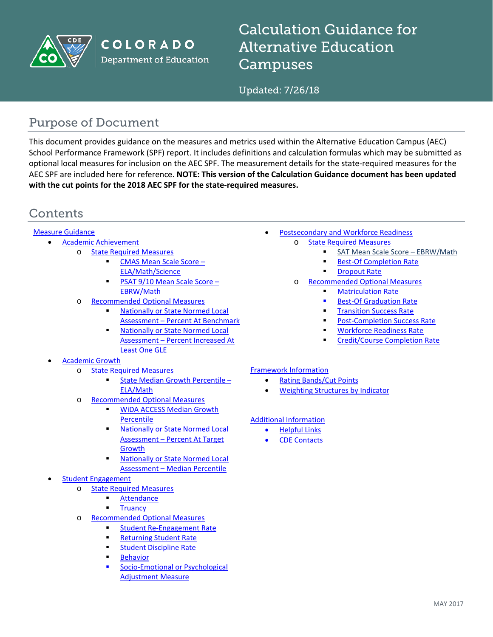

COLORADO **Department of Education**  Calculation Guidance for Alternative Education Campuses

Updated: 7/26/18

# Purpose of Document

This document provides guidance on the measures and metrics used within the Alternative Education Campus (AEC) School Performance Framework (SPF) report. It includes definitions and calculation formulas which may be submitted as optional local measures for inclusion on the AEC SPF. The measurement details for the state-required measures for the AEC SPF are included here for reference. **NOTE: This version of the Calculation Guidance document has been updated with the cut points for the 2018 AEC SPF for the state-required measures.**

# **Contents**

#### [Measure Guidance](#page-1-0)

- [Academic Achievement](#page-1-1)
	- o [State Required Measures](#page-1-2)
		- [CMAS Mean Scale Score –](#page-1-3) [ELA/Math/Science](#page-1-3)
		- [PSAT 9/10 Mean Scale Score –](#page-2-0) [EBRW/Math](#page-2-0)
	- o [Recommended Optional Measures](#page-3-0)
		- [Nationally or State Normed Local](#page-3-1)  Assessment – [Percent At Benchmark](#page-3-1)
		- [Nationally or State Normed Local](#page-4-0)  Assessment – [Percent Increased At](#page-4-0)  [Least One GLE](#page-4-0)

#### • [Academic Growth](#page-5-0)

- o [State Required Measures](#page-5-1)
	- [State Median Growth Percentile –](#page-5-2) [ELA/Math](#page-5-2)
- o [Recommended Optional Measures](#page-7-0)
	- **WIDA ACCESS Median Growth** [Percentile](#page-7-1)
	- [Nationally or State Normed Local](#page-7-2)  Assessment – [Percent At Target](#page-7-2)  [Growth](#page-7-2)
	- [Nationally or State Normed Local](#page-8-0)  Assessment – [Median Percentile](#page-8-0)
- [Student Engagement](#page-9-0)
	- o [State Required Measures](#page-9-1)
		- [Attendance](#page-9-2)
			- **[Truancy](#page-10-0)**
	- o [Recommended Optional Measures](#page-12-0)
		- [Student Re-Engagement Rate](#page-12-1)
			- [Returning Student Rate](#page-13-0)
		- [Student Discipline Rate](#page-14-0)
		- [Behavior](#page-15-0)
		- [Socio-Emotional or Psychological](#page-16-0)  [Adjustment Measure](#page-16-0)
- [Postsecondary and Workforce Readiness](#page-17-0)
	- o [State Required Measures](#page-17-1)
		- SAT Mean Scale Score EBRW/Math
		- [Best-Of Completion Rate](#page-17-3)
		- **Paragraph** [Dropout Rate](#page-19-0)
	- o [Recommended Optional Measures](#page-19-1)
		- [Matriculation Rate](#page-20-0)
		- [Best-Of Graduation Rate](#page-21-0)
		- **[Transition Success Rate](#page-22-0)**
		- **[Post-Completion Success Rate](#page-23-0)**
		- [Workforce Readiness Rate](#page-24-0)
		- [Credit/Course Completion Rate](#page-25-0)

#### [Framework Information](#page-27-0)

- [Rating Bands/Cut Points](#page-27-1)
- [Weighting Structures by Indicator](#page-27-2)

#### [Additional Information](#page-28-0)

- [Helpful Links](#page-28-1)
- **[CDE Contacts](#page-28-2)**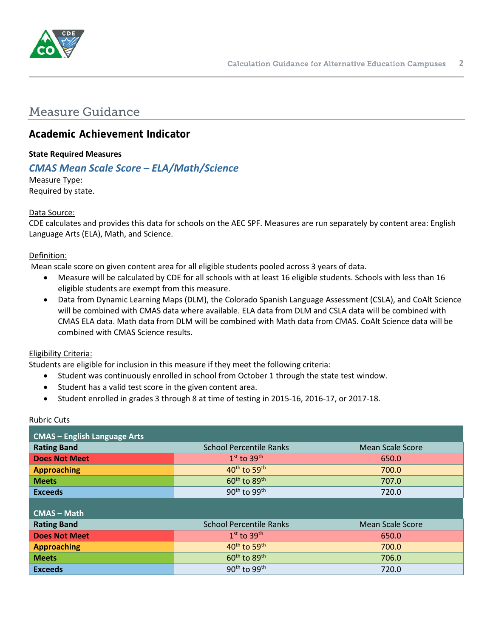

# <span id="page-1-0"></span>Measure Guidance

## <span id="page-1-1"></span>**Academic Achievement Indicator**

### <span id="page-1-2"></span>**State Required Measures**

## <span id="page-1-3"></span>*CMAS Mean Scale Score – ELA/Math/Science*

Measure Type: Required by state.

#### Data Source:

CDE calculates and provides this data for schools on the AEC SPF. Measures are run separately by content area: English Language Arts (ELA), Math, and Science.

#### Definition:

Mean scale score on given content area for all eligible students pooled across 3 years of data.

- Measure will be calculated by CDE for all schools with at least 16 eligible students. Schools with less than 16 eligible students are exempt from this measure.
- Data from Dynamic Learning Maps (DLM), the Colorado Spanish Language Assessment (CSLA), and CoAlt Science will be combined with CMAS data where available. ELA data from DLM and CSLA data will be combined with CMAS ELA data. Math data from DLM will be combined with Math data from CMAS. CoAlt Science data will be combined with CMAS Science results.

#### Eligibility Criteria:

Students are eligible for inclusion in this measure if they meet the following criteria:

- Student was continuously enrolled in school from October 1 through the state test window.
- Student has a valid test score in the given content area.
- Student enrolled in grades 3 through 8 at time of testing in 2015-16, 2016-17, or 2017-18.

| <b>CMAS</b> - English Language Arts |                                      |                         |
|-------------------------------------|--------------------------------------|-------------------------|
| <b>Rating Band</b>                  | <b>School Percentile Ranks</b>       | <b>Mean Scale Score</b> |
| <b>Does Not Meet</b>                | $1st$ to $39th$                      | 650.0                   |
| <b>Approaching</b>                  | 40 <sup>th</sup> to 59 <sup>th</sup> | 700.0                   |
| <b>Meets</b>                        | 60 <sup>th</sup> to 89 <sup>th</sup> | 707.0                   |
| <b>Exceeds</b>                      | $90th$ to $99th$                     | 720.0                   |
|                                     |                                      |                         |
| <b>CMAS - Math</b>                  |                                      |                         |
| <b>Rating Band</b>                  | <b>School Percentile Ranks</b>       | <b>Mean Scale Score</b> |
| <b>Does Not Meet</b>                | $1st$ to $39th$                      | 650.0                   |
| <b>Approaching</b>                  | 40 <sup>th</sup> to 59 <sup>th</sup> | 700.0                   |
| <b>Meets</b>                        | $60th$ to $89th$                     | 706.0                   |
| <b>Exceeds</b>                      | 90 <sup>th</sup> to 99 <sup>th</sup> | 720.0                   |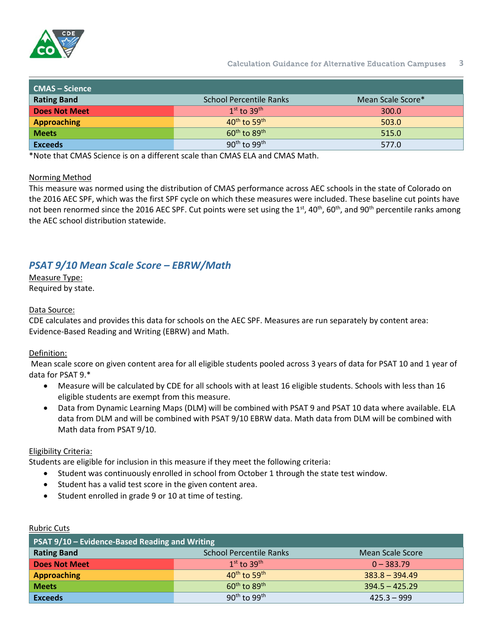

| CMAS – Science     |                                      |                   |
|--------------------|--------------------------------------|-------------------|
| <b>Rating Band</b> | <b>School Percentile Ranks</b>       | Mean Scale Score* |
| Does Not Meet      | $1st$ to 39 <sup>th</sup>            | 300.0             |
| Approaching        | $40^{th}$ to 59 <sup>th</sup>        | 503.0             |
| <b>Meets</b>       | $60^{\text{th}}$ to $89^{\text{th}}$ | 515.0             |
| <b>Exceeds</b>     | $90^{\text{th}}$ to $99^{\text{th}}$ | 577.0             |

\*Note that CMAS Science is on a different scale than CMAS ELA and CMAS Math.

#### Norming Method

This measure was normed using the distribution of CMAS performance across AEC schools in the state of Colorado on the 2016 AEC SPF, which was the first SPF cycle on which these measures were included. These baseline cut points have not been renormed since the 2016 AEC SPF. Cut points were set using the 1<sup>st</sup>, 40<sup>th</sup>, 60<sup>th</sup>, and 90<sup>th</sup> percentile ranks among the AEC school distribution statewide.

## <span id="page-2-0"></span>*PSAT 9/10 Mean Scale Score – EBRW/Math*

Measure Type: Required by state.

#### Data Source:

CDE calculates and provides this data for schools on the AEC SPF. Measures are run separately by content area: Evidence-Based Reading and Writing (EBRW) and Math.

#### Definition:

Mean scale score on given content area for all eligible students pooled across 3 years of data for PSAT 10 and 1 year of data for PSAT 9.\*

- Measure will be calculated by CDE for all schools with at least 16 eligible students. Schools with less than 16 eligible students are exempt from this measure.
- Data from Dynamic Learning Maps (DLM) will be combined with PSAT 9 and PSAT 10 data where available. ELA data from DLM and will be combined with PSAT 9/10 EBRW data. Math data from DLM will be combined with Math data from PSAT 9/10.

#### Eligibility Criteria:

Students are eligible for inclusion in this measure if they meet the following criteria:

- Student was continuously enrolled in school from October 1 through the state test window.
- Student has a valid test score in the given content area.
- Student enrolled in grade 9 or 10 at time of testing.

| PSAT 9/10 - Evidence-Based Reading and Writing |                                      |                         |
|------------------------------------------------|--------------------------------------|-------------------------|
| <b>Rating Band</b>                             | <b>School Percentile Ranks</b>       | <b>Mean Scale Score</b> |
| <b>Does Not Meet</b>                           | $1st$ to $39th$                      | $0 - 383.79$            |
| <b>Approaching</b>                             | $40^{\text{th}}$ to 59 <sup>th</sup> | $383.8 - 394.49$        |
| <b>Meets</b>                                   | $60^{\text{th}}$ to $89^{\text{th}}$ | $394.5 - 425.29$        |
| <b>Exceeds</b>                                 | $90th$ to $99th$                     | $425.3 - 999$           |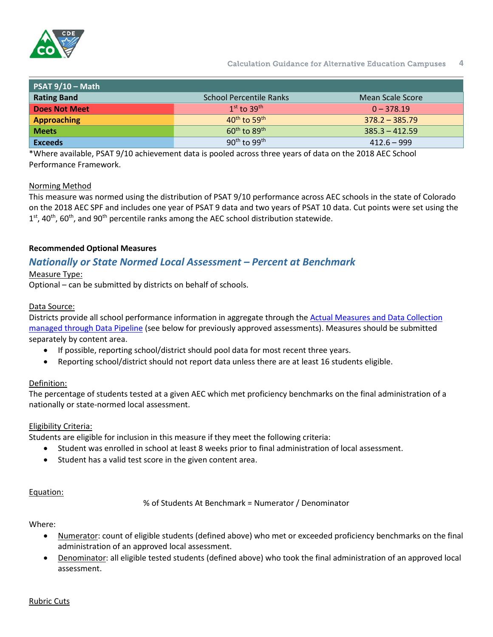

| $PSAT 9/10 - Math$   |                                      |                  |
|----------------------|--------------------------------------|------------------|
| <b>Rating Band</b>   | <b>School Percentile Ranks</b>       | Mean Scale Score |
| <b>Does Not Meet</b> | $1st$ to $39th$                      | $0 - 378.19$     |
| <b>Approaching</b>   | $40^{th}$ to 59 <sup>th</sup>        | $378.2 - 385.79$ |
| <b>Meets</b>         | $60^{\text{th}}$ to $89^{\text{th}}$ | $385.3 - 412.59$ |
| <b>Exceeds</b>       | $90^{th}$ to $99^{th}$               | $412.6 - 999$    |

\*Where available, PSAT 9/10 achievement data is pooled across three years of data on the 2018 AEC School Performance Framework.

#### Norming Method

This measure was normed using the distribution of PSAT 9/10 performance across AEC schools in the state of Colorado on the 2018 AEC SPF and includes one year of PSAT 9 data and two years of PSAT 10 data. Cut points were set using the  $1<sup>st</sup>$ , 40<sup>th</sup>, 60<sup>th</sup>, and 90<sup>th</sup> percentile ranks among the AEC school distribution statewide.

### <span id="page-3-0"></span>**Recommended Optional Measures**

## <span id="page-3-1"></span>*Nationally or State Normed Local Assessment – Percent at Benchmark*

#### Measure Type:

Optional – can be submitted by districts on behalf of schools.

#### Data Source:

Districts provide all school performance information in aggregate through the [Actual Measures and Data Collection](http://www.cde.state.co.us/datapipeline/per-aec)  [managed through Data Pipeline](http://www.cde.state.co.us/datapipeline/per-aec) (see below for previously approved assessments). Measures should be submitted separately by content area.

- If possible, reporting school/district should pool data for most recent three years.
- Reporting school/district should not report data unless there are at least 16 students eligible.

### Definition:

The percentage of students tested at a given AEC which met proficiency benchmarks on the final administration of a nationally or state-normed local assessment.

### Eligibility Criteria:

Students are eligible for inclusion in this measure if they meet the following criteria:

- Student was enrolled in school at least 8 weeks prior to final administration of local assessment.
- Student has a valid test score in the given content area.

#### Equation:

% of Students At Benchmark = Numerator / Denominator

Where:

- Numerator: count of eligible students (defined above) who met or exceeded proficiency benchmarks on the final administration of an approved local assessment.
- Denominator: all eligible tested students (defined above) who took the final administration of an approved local assessment.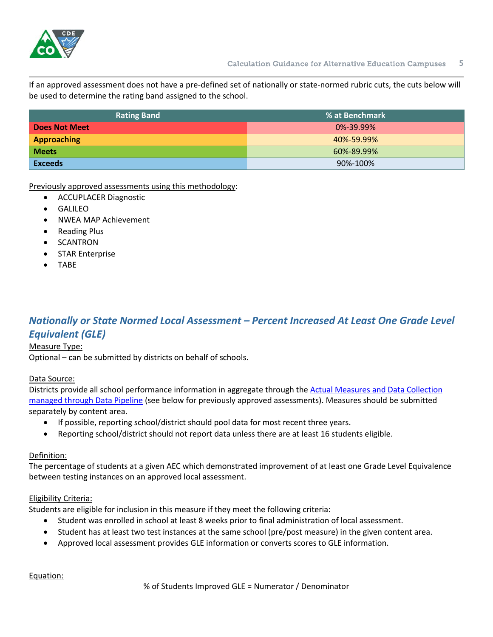

If an approved assessment does not have a pre-defined set of nationally or state-normed rubric cuts, the cuts below will be used to determine the rating band assigned to the school.

| <b>Rating Band</b>   | % at Benchmark  |
|----------------------|-----------------|
| <b>Does Not Meet</b> | $0\% - 39.99\%$ |
| <b>Approaching</b>   | 40%-59.99%      |
| <b>Meets</b>         | 60%-89.99%      |
| <b>Exceeds</b>       | 90%-100%        |

Previously approved assessments using this methodology:

- ACCUPLACER Diagnostic
- **GALILEO**
- NWEA MAP Achievement
- Reading Plus
- SCANTRON
- STAR Enterprise
- TABE

## <span id="page-4-0"></span>*Nationally or State Normed Local Assessment – Percent Increased At Least One Grade Level Equivalent (GLE)*

#### Measure Type:

Optional – can be submitted by districts on behalf of schools.

#### Data Source:

Districts provide all school performance information in aggregate through the [Actual Measures and Data Collection](http://www.cde.state.co.us/datapipeline/per-aec)  [managed through Data Pipeline](http://www.cde.state.co.us/datapipeline/per-aec) (see below for previously approved assessments). Measures should be submitted separately by content area.

- If possible, reporting school/district should pool data for most recent three years.
- Reporting school/district should not report data unless there are at least 16 students eligible.

#### Definition:

The percentage of students at a given AEC which demonstrated improvement of at least one Grade Level Equivalence between testing instances on an approved local assessment.

#### Eligibility Criteria:

Students are eligible for inclusion in this measure if they meet the following criteria:

- Student was enrolled in school at least 8 weeks prior to final administration of local assessment.
- Student has at least two test instances at the same school (pre/post measure) in the given content area.
- Approved local assessment provides GLE information or converts scores to GLE information.

Equation: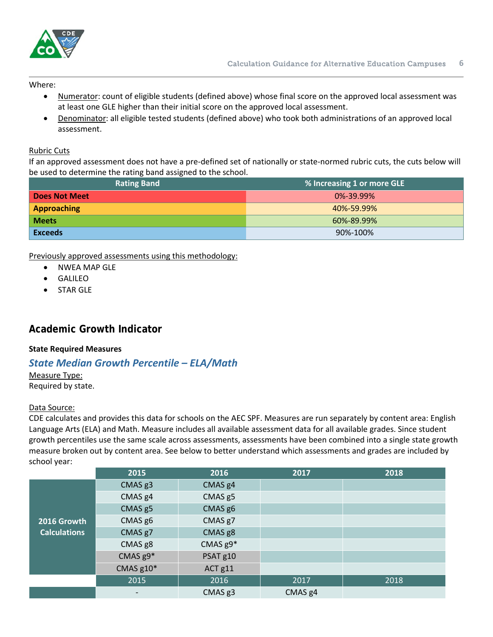

Where:

- Numerator: count of eligible students (defined above) whose final score on the approved local assessment was at least one GLE higher than their initial score on the approved local assessment.
- Denominator: all eligible tested students (defined above) who took both administrations of an approved local assessment.

#### Rubric Cuts

If an approved assessment does not have a pre-defined set of nationally or state-normed rubric cuts, the cuts below will be used to determine the rating band assigned to the school.

| <b>Rating Band</b>   | % Increasing 1 or more GLE |
|----------------------|----------------------------|
| <b>Does Not Meet</b> | $0\% - 39.99\%$            |
| <b>Approaching</b>   | 40%-59.99%                 |
| <b>Meets</b>         | 60%-89.99%                 |
| <b>Exceeds</b>       | 90%-100%                   |

### Previously approved assessments using this methodology:

- NWEA MAP GLE
- **GALILEO**
- STAR GLE

## <span id="page-5-0"></span>**Academic Growth Indicator**

#### <span id="page-5-1"></span>**State Required Measures**

## <span id="page-5-2"></span>*State Median Growth Percentile – ELA/Math*

Measure Type:

Required by state.

#### Data Source:

CDE calculates and provides this data for schools on the AEC SPF. Measures are run separately by content area: English Language Arts (ELA) and Math. Measure includes all available assessment data for all available grades. Since student growth percentiles use the same scale across assessments, assessments have been combined into a single state growth measure broken out by content area. See below to better understand which assessments and grades are included by school year:

|                     | 2015                     | 2016               | 2017               | 2018 |
|---------------------|--------------------------|--------------------|--------------------|------|
|                     | CMAS g3                  | CMAS g4            |                    |      |
|                     | CMAS g4                  | CMAS g5            |                    |      |
|                     | CMAS <sub>g5</sub>       | CMAS g6            |                    |      |
| 2016 Growth         | CMAS g6                  | CMAS g7            |                    |      |
| <b>Calculations</b> | CMAS g7                  | CMAS g8            |                    |      |
|                     | CMAS g8                  | CMAS g9*           |                    |      |
|                     | CMAS g9*                 | PSAT g10           |                    |      |
|                     | CMAS g10*                | ACT <sub>g11</sub> |                    |      |
|                     | 2015                     | 2016               | 2017               | 2018 |
|                     | $\overline{\phantom{0}}$ | CMAS g3            | CMAS <sub>g4</sub> |      |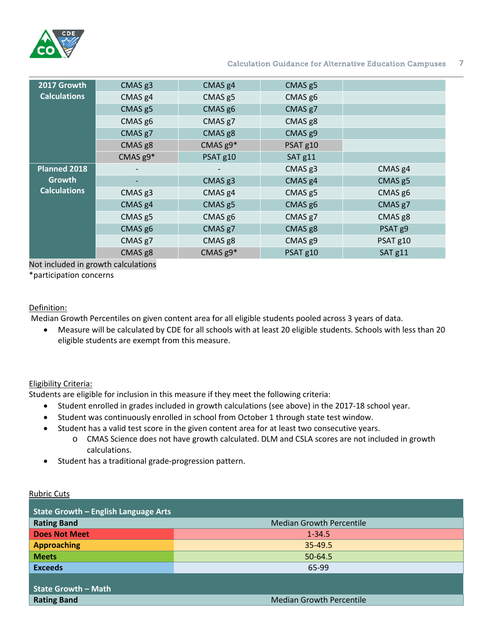

#### Calculation Guidance for Alternative Education Campuses **7**

| 2017 Growth         | CMAS <sub>g3</sub> | CMAS <sub>g4</sub> | CMAS <sub>g5</sub> |                    |
|---------------------|--------------------|--------------------|--------------------|--------------------|
| <b>Calculations</b> | CMAS <sub>g4</sub> | CMAS <sub>g5</sub> | CMAS g6            |                    |
|                     | CMAS <sub>g5</sub> | CMAS g6            | CMAS g7            |                    |
|                     | CMAS g6            | CMAS g7            | CMAS g8            |                    |
|                     | CMAS g7            | CMAS <sub>g8</sub> | CMAS g9            |                    |
|                     | CMAS <sub>g8</sub> | CMAS $g9*$         | PSAT g10           |                    |
|                     | CMAS $g9*$         | PSAT g10           | SAT <sub>g11</sub> |                    |
| Planned 2018        |                    |                    | CMAS g3            | CMAS <sub>g4</sub> |
| Growth              |                    | CMAS <sub>g3</sub> | CMAS <sub>g4</sub> | CMAS <sub>g5</sub> |
| <b>Calculations</b> | CMAS <sub>g3</sub> | CMAS <sub>g4</sub> | CMAS <sub>g5</sub> | CMAS g6            |
|                     | CMAS <sub>g4</sub> | CMAS <sub>g5</sub> | CMAS g6            | CMAS g7            |
|                     | CMAS <sub>g5</sub> | CMAS g6            | CMAS g7            | CMAS <sub>g8</sub> |
|                     | CMAS g6            | CMAS g7            | CMAS g8            | PSAT g9            |
|                     | CMAS g7            | CMAS g8            | CMAS g9            | PSAT g10           |
|                     | CMAS g8            | CMAS $g9*$         | PSAT g10           | SAT <sub>g11</sub> |

Not included in growth calculations

\*participation concerns

#### Definition:

Median Growth Percentiles on given content area for all eligible students pooled across 3 years of data.

• Measure will be calculated by CDE for all schools with at least 20 eligible students. Schools with less than 20 eligible students are exempt from this measure.

### Eligibility Criteria:

Students are eligible for inclusion in this measure if they meet the following criteria:

- Student enrolled in grades included in growth calculations (see above) in the 2017-18 school year.
- Student was continuously enrolled in school from October 1 through state test window.
- Student has a valid test score in the given content area for at least two consecutive years.
	- o CMAS Science does not have growth calculated. DLM and CSLA scores are not included in growth calculations.
- Student has a traditional grade-progression pattern.

| <b>State Growth - English Language Arts</b> |                                 |  |
|---------------------------------------------|---------------------------------|--|
| <b>Rating Band</b>                          | <b>Median Growth Percentile</b> |  |
| <b>Does Not Meet</b>                        | $1 - 34.5$                      |  |
| <b>Approaching</b>                          | $35 - 49.5$                     |  |
| <b>Meets</b>                                | 50-64.5                         |  |
| <b>Exceeds</b>                              | 65-99                           |  |
|                                             |                                 |  |
| <b>State Growth - Math</b>                  |                                 |  |
| <b>Rating Band</b>                          | <b>Median Growth Percentile</b> |  |
|                                             |                                 |  |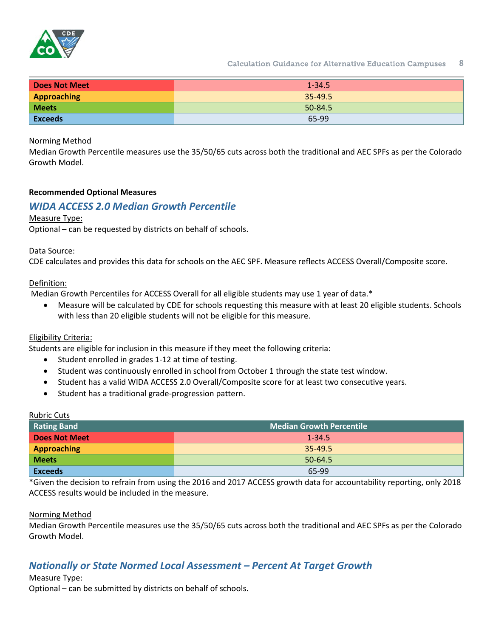

Calculation Guidance for Alternative Education Campuses **8**

| <b>Does Not Meet</b> | $1 - 34.5$ |
|----------------------|------------|
| Approaching          | 35-49.5    |
| <b>Meets</b>         | 50-84.5    |
| <b>Exceeds</b>       | 65-99      |

#### Norming Method

Median Growth Percentile measures use the 35/50/65 cuts across both the traditional and AEC SPFs as per the Colorado Growth Model.

#### <span id="page-7-0"></span>**Recommended Optional Measures**

### <span id="page-7-1"></span>*WIDA ACCESS 2.0 Median Growth Percentile*

#### Measure Type:

Optional – can be requested by districts on behalf of schools.

#### Data Source:

CDE calculates and provides this data for schools on the AEC SPF. Measure reflects ACCESS Overall/Composite score.

#### Definition:

Median Growth Percentiles for ACCESS Overall for all eligible students may use 1 year of data.\*

• Measure will be calculated by CDE for schools requesting this measure with at least 20 eligible students. Schools with less than 20 eligible students will not be eligible for this measure.

#### Eligibility Criteria:

Students are eligible for inclusion in this measure if they meet the following criteria:

- Student enrolled in grades 1-12 at time of testing.
- Student was continuously enrolled in school from October 1 through the state test window.
- Student has a valid WIDA ACCESS 2.0 Overall/Composite score for at least two consecutive years.
- Student has a traditional grade-progression pattern.

#### Rubric Cuts

| <b>Rating Band</b>   | <b>Median Growth Percentile</b> |
|----------------------|---------------------------------|
| <b>Does Not Meet</b> | $1 - 34.5$                      |
| Approaching          | 35-49.5                         |
| <b>Meets</b>         | 50-64.5                         |
| <b>Exceeds</b>       | 65-99                           |

\*Given the decision to refrain from using the 2016 and 2017 ACCESS growth data for accountability reporting, only 2018 ACCESS results would be included in the measure.

#### Norming Method

Median Growth Percentile measures use the 35/50/65 cuts across both the traditional and AEC SPFs as per the Colorado Growth Model.

## <span id="page-7-2"></span>*Nationally or State Normed Local Assessment – Percent At Target Growth*

#### Measure Type:

Optional – can be submitted by districts on behalf of schools.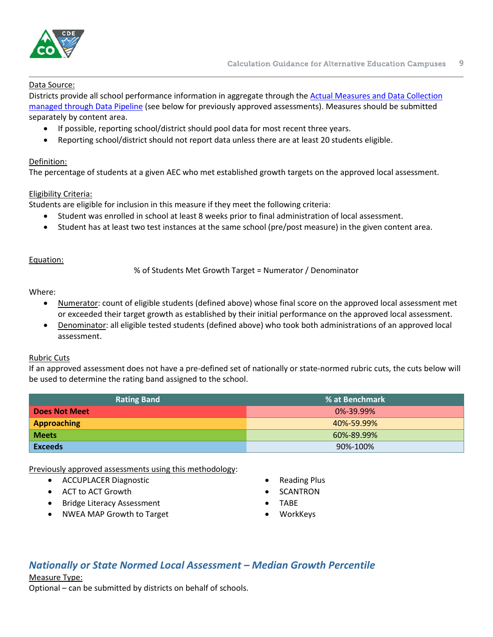

#### Data Source:

Districts provide all school performance information in aggregate through the **Actual Measures and Data Collection** [managed through Data Pipeline](http://www.cde.state.co.us/datapipeline/per-aec) (see below for previously approved assessments). Measures should be submitted separately by content area.

- If possible, reporting school/district should pool data for most recent three years.
- Reporting school/district should not report data unless there are at least 20 students eligible.

#### Definition:

The percentage of students at a given AEC who met established growth targets on the approved local assessment.

#### Eligibility Criteria:

Students are eligible for inclusion in this measure if they meet the following criteria:

- Student was enrolled in school at least 8 weeks prior to final administration of local assessment.
- Student has at least two test instances at the same school (pre/post measure) in the given content area.

#### Equation:

% of Students Met Growth Target = Numerator / Denominator

Where:

- Numerator: count of eligible students (defined above) whose final score on the approved local assessment met or exceeded their target growth as established by their initial performance on the approved local assessment.
- Denominator: all eligible tested students (defined above) who took both administrations of an approved local assessment.

#### Rubric Cuts

If an approved assessment does not have a pre-defined set of nationally or state-normed rubric cuts, the cuts below will be used to determine the rating band assigned to the school.

| <b>Rating Band</b>   | % at Benchmark |
|----------------------|----------------|
| <b>Does Not Meet</b> | 0%-39.99%      |
| <b>Approaching</b>   | 40%-59.99%     |
| <b>Meets</b>         | 60%-89.99%     |
| <b>Exceeds</b>       | 90%-100%       |

Previously approved assessments using this methodology:

- ACCUPLACER Diagnostic
- ACT to ACT Growth
- Bridge Literacy Assessment
- NWEA MAP Growth to Target
- Reading Plus
- **SCANTRON**
- TABE
- **WorkKeys**

## <span id="page-8-0"></span>*Nationally or State Normed Local Assessment – Median Growth Percentile*

#### Measure Type:

Optional – can be submitted by districts on behalf of schools.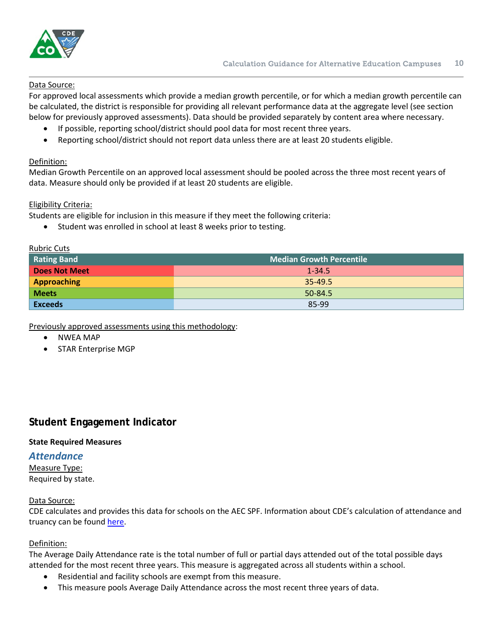

#### Data Source:

For approved local assessments which provide a median growth percentile, or for which a median growth percentile can be calculated, the district is responsible for providing all relevant performance data at the aggregate level (see section below for previously approved assessments). Data should be provided separately by content area where necessary.

- If possible, reporting school/district should pool data for most recent three years.
- Reporting school/district should not report data unless there are at least 20 students eligible.

#### Definition:

Median Growth Percentile on an approved local assessment should be pooled across the three most recent years of data. Measure should only be provided if at least 20 students are eligible.

#### Eligibility Criteria:

Students are eligible for inclusion in this measure if they meet the following criteria:

• Student was enrolled in school at least 8 weeks prior to testing.

#### Rubric Cuts

| Rating Band          | <b>Median Growth Percentile</b> |  |  |
|----------------------|---------------------------------|--|--|
| <b>Does Not Meet</b> | $1 - 34.5$                      |  |  |
| <b>Approaching</b>   | 35-49.5                         |  |  |
| <b>Meets</b>         | 50-84.5                         |  |  |
| <b>Exceeds</b>       | 85-99                           |  |  |

Previously approved assessments using this methodology:

- NWEA MAP
- STAR Enterprise MGP

## <span id="page-9-0"></span>**Student Engagement Indicator**

#### <span id="page-9-1"></span>**State Required Measures**

#### <span id="page-9-2"></span>*Attendance*

Measure Type: Required by state.

#### Data Source:

CDE calculates and provides this data for schools on the AEC SPF. Information about CDE's calculation of attendance and truancy can be found [here.](https://www.cde.state.co.us/cdereval/truancystatistics)

#### Definition:

The Average Daily Attendance rate is the total number of full or partial days attended out of the total possible days attended for the most recent three years. This measure is aggregated across all students within a school.

- Residential and facility schools are exempt from this measure.
- This measure pools Average Daily Attendance across the most recent three years of data.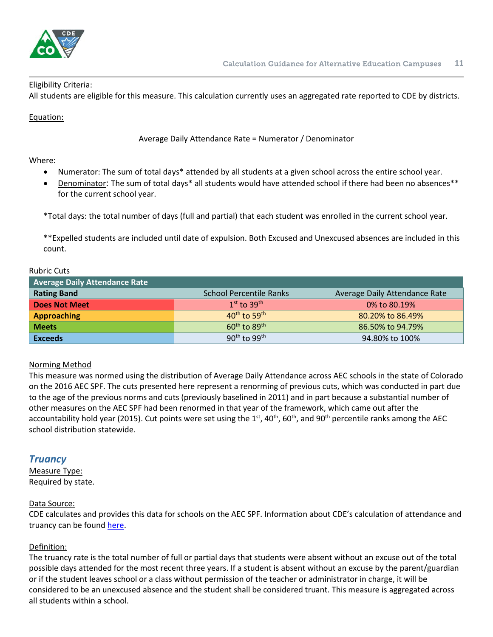

#### Eligibility Criteria:

All students are eligible for this measure. This calculation currently uses an aggregated rate reported to CDE by districts.

Equation:

Average Daily Attendance Rate = Numerator / Denominator

Where:

- Numerator: The sum of total days\* attended by all students at a given school across the entire school year.
- Denominator: The sum of total days\* all students would have attended school if there had been no absences\*\* for the current school year.

\*Total days: the total number of days (full and partial) that each student was enrolled in the current school year.

\*\*Expelled students are included until date of expulsion. Both Excused and Unexcused absences are included in this count.

#### Rubric Cuts

| <b>Average Daily Attendance Rate</b> |                                      |                               |
|--------------------------------------|--------------------------------------|-------------------------------|
| <b>Rating Band</b>                   | <b>School Percentile Ranks</b>       | Average Daily Attendance Rate |
| <b>Does Not Meet</b>                 | $1st$ to $39th$                      | 0% to 80.19%                  |
| <b>Approaching</b>                   | $40^{th}$ to 59 <sup>th</sup>        | 80.20% to 86.49%              |
| <b>Meets</b>                         | $60^{\text{th}}$ to $89^{\text{th}}$ | 86.50% to 94.79%              |
| <b>Exceeds</b>                       | $90^{\text{th}}$ to $99^{\text{th}}$ | 94.80% to 100%                |

#### Norming Method

This measure was normed using the distribution of Average Daily Attendance across AEC schools in the state of Colorado on the 2016 AEC SPF. The cuts presented here represent a renorming of previous cuts, which was conducted in part due to the age of the previous norms and cuts (previously baselined in 2011) and in part because a substantial number of other measures on the AEC SPF had been renormed in that year of the framework, which came out after the accountability hold year (2015). Cut points were set using the  $1<sup>st</sup>$ , 40<sup>th</sup>, 60<sup>th</sup>, and 90<sup>th</sup> percentile ranks among the AEC school distribution statewide.

## <span id="page-10-0"></span>*Truancy*

Measure Type: Required by state.

#### Data Source:

CDE calculates and provides this data for schools on the AEC SPF. Information about CDE's calculation of attendance and truancy can be found [here.](https://www.cde.state.co.us/cdereval/truancystatistics)

#### Definition:

The truancy rate is the total number of full or partial days that students were absent without an excuse out of the total possible days attended for the most recent three years. If a student is absent without an excuse by the parent/guardian or if the student leaves school or a class without permission of the teacher or administrator in charge, it will be considered to be an unexcused absence and the student shall be considered truant. This measure is aggregated across all students within a school.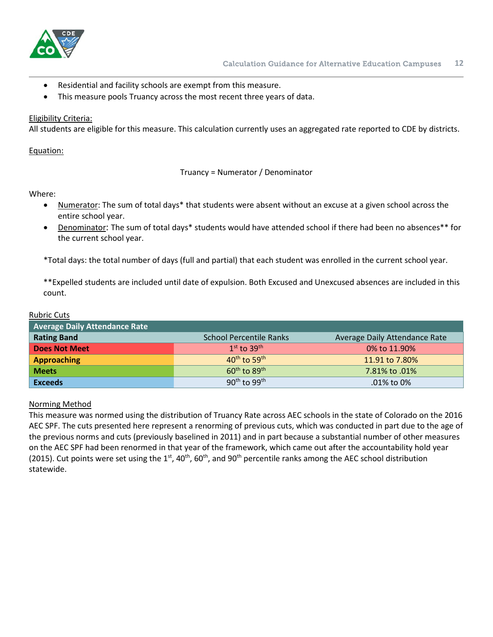

- Residential and facility schools are exempt from this measure.
- This measure pools Truancy across the most recent three years of data.

#### Eligibility Criteria:

All students are eligible for this measure. This calculation currently uses an aggregated rate reported to CDE by districts.

Equation:

Truancy = Numerator / Denominator

#### Where:

Rubric Cuts

- Numerator: The sum of total days\* that students were absent without an excuse at a given school across the entire school year.
- Denominator: The sum of total days\* students would have attended school if there had been no absences\*\* for the current school year.

\*Total days: the total number of days (full and partial) that each student was enrolled in the current school year.

\*\*Expelled students are included until date of expulsion. Both Excused and Unexcused absences are included in this count.

| <b>RUDITIC CULS</b>                  |                                      |                               |
|--------------------------------------|--------------------------------------|-------------------------------|
| <b>Average Daily Attendance Rate</b> |                                      |                               |
| <b>Rating Band</b>                   | <b>School Percentile Ranks</b>       | Average Daily Attendance Rate |
| Does Not Meet                        | $1st$ to $39th$                      | 0% to 11.90%                  |
| <b>Approaching</b>                   | $40^{\text{th}}$ to 59 <sup>th</sup> | 11.91 to 7.80%                |
| <b>Meets</b>                         | $60^{\text{th}}$ to $89^{\text{th}}$ | 7.81% to .01%                 |
| <b>Exceeds</b>                       | $90th$ to $99th$                     | .01% to 0%                    |

#### Norming Method

This measure was normed using the distribution of Truancy Rate across AEC schools in the state of Colorado on the 2016 AEC SPF. The cuts presented here represent a renorming of previous cuts, which was conducted in part due to the age of the previous norms and cuts (previously baselined in 2011) and in part because a substantial number of other measures on the AEC SPF had been renormed in that year of the framework, which came out after the accountability hold year (2015). Cut points were set using the  $1^{st}$ , 40<sup>th</sup>, 60<sup>th</sup>, and 90<sup>th</sup> percentile ranks among the AEC school distribution statewide.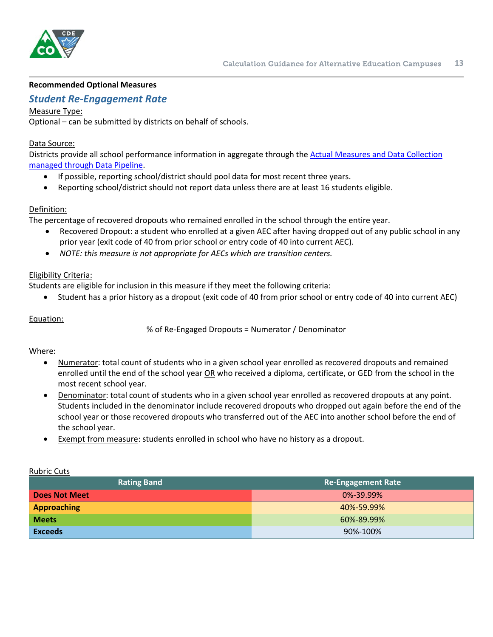

#### <span id="page-12-0"></span>**Recommended Optional Measures**

### <span id="page-12-1"></span>*Student Re-Engagement Rate*

#### Measure Type:

Optional – can be submitted by districts on behalf of schools.

#### Data Source:

Districts provide all school performance information in aggregate through the [Actual Measures and Data Collection](http://www.cde.state.co.us/datapipeline/per-aec)  [managed through Data Pipeline.](http://www.cde.state.co.us/datapipeline/per-aec)

- If possible, reporting school/district should pool data for most recent three years.
- Reporting school/district should not report data unless there are at least 16 students eligible.

#### Definition:

The percentage of recovered dropouts who remained enrolled in the school through the entire year.

- Recovered Dropout: a student who enrolled at a given AEC after having dropped out of any public school in any prior year (exit code of 40 from prior school or entry code of 40 into current AEC).
- *NOTE: this measure is not appropriate for AECs which are transition centers.*

#### Eligibility Criteria:

Students are eligible for inclusion in this measure if they meet the following criteria:

• Student has a prior history as a dropout (exit code of 40 from prior school or entry code of 40 into current AEC)

#### Equation:

% of Re-Engaged Dropouts = Numerator / Denominator

#### Where:

- Numerator: total count of students who in a given school year enrolled as recovered dropouts and remained enrolled until the end of the school year OR who received a diploma, certificate, or GED from the school in the most recent school year.
- Denominator: total count of students who in a given school year enrolled as recovered dropouts at any point. Students included in the denominator include recovered dropouts who dropped out again before the end of the school year or those recovered dropouts who transferred out of the AEC into another school before the end of the school year.
- Exempt from measure: students enrolled in school who have no history as a dropout.

| <b>Rating Band</b>   | <b>Re-Engagement Rate</b> |
|----------------------|---------------------------|
| <b>Does Not Meet</b> | 0%-39.99%                 |
| Approaching          | 40%-59.99%                |
| <b>Meets</b>         | 60%-89.99%                |
| <b>Exceeds</b>       | 90%-100%                  |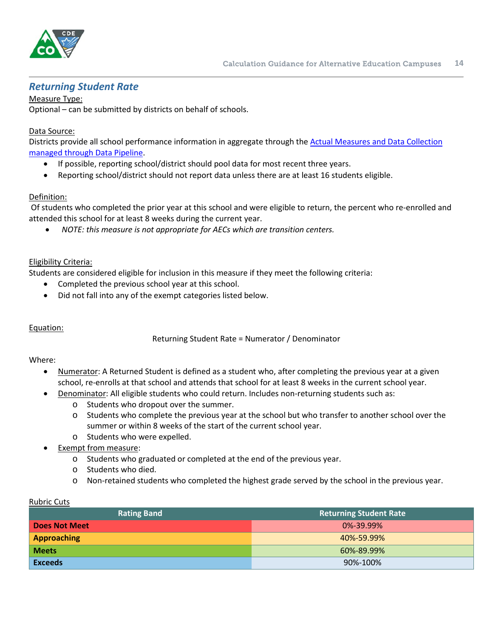

## <span id="page-13-0"></span>*Returning Student Rate*

Measure Type:

Optional – can be submitted by districts on behalf of schools.

#### Data Source:

Districts provide all school performance information in aggregate through the [Actual Measures and Data Collection](http://www.cde.state.co.us/datapipeline/per-aec)  [managed through Data Pipeline.](http://www.cde.state.co.us/datapipeline/per-aec)

- If possible, reporting school/district should pool data for most recent three years.
- Reporting school/district should not report data unless there are at least 16 students eligible.

#### Definition:

Of students who completed the prior year at this school and were eligible to return, the percent who re-enrolled and attended this school for at least 8 weeks during the current year.

• *NOTE: this measure is not appropriate for AECs which are transition centers.*

#### Eligibility Criteria:

Students are considered eligible for inclusion in this measure if they meet the following criteria:

- Completed the previous school year at this school.
- Did not fall into any of the exempt categories listed below.

#### Equation:

Returning Student Rate = Numerator / Denominator

#### Where:

- Numerator: A Returned Student is defined as a student who, after completing the previous year at a given school, re-enrolls at that school and attends that school for at least 8 weeks in the current school year.
- Denominator: All eligible students who could return. Includes non-returning students such as:
	- o Students who dropout over the summer.
	- o Students who complete the previous year at the school but who transfer to another school over the summer or within 8 weeks of the start of the current school year.
	- o Students who were expelled.
- Exempt from measure:
	- o Students who graduated or completed at the end of the previous year.
	- o Students who died.
	- o Non-retained students who completed the highest grade served by the school in the previous year.

| <b>Rating Band</b>   | <b>Returning Student Rate</b> |
|----------------------|-------------------------------|
| <b>Does Not Meet</b> | $0\% - 39.99\%$               |
| <b>Approaching</b>   | 40%-59.99%                    |
| <b>Meets</b>         | 60%-89.99%                    |
| <b>Exceeds</b>       | 90%-100%                      |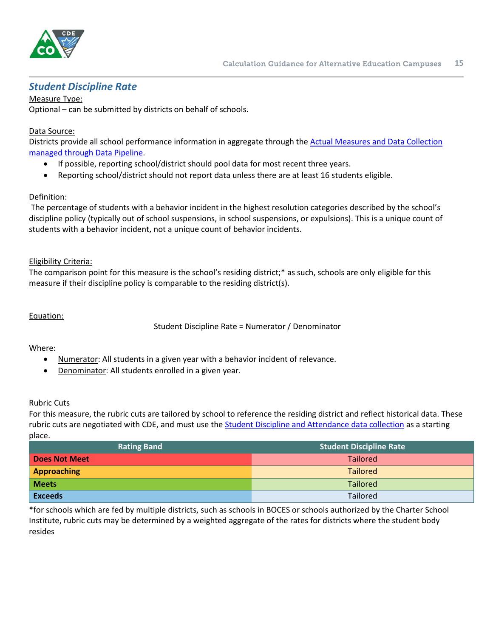

## <span id="page-14-0"></span>*Student Discipline Rate*

Measure Type: Optional – can be submitted by districts on behalf of schools.

### Data Source:

Districts provide all school performance information in aggregate through the [Actual Measures and Data Collection](http://www.cde.state.co.us/datapipeline/per-aec)  [managed through Data Pipeline.](http://www.cde.state.co.us/datapipeline/per-aec)

- If possible, reporting school/district should pool data for most recent three years.
- Reporting school/district should not report data unless there are at least 16 students eligible.

### Definition:

The percentage of students with a behavior incident in the highest resolution categories described by the school's discipline policy (typically out of school suspensions, in school suspensions, or expulsions). This is a unique count of students with a behavior incident, not a unique count of behavior incidents.

#### Eligibility Criteria:

The comparison point for this measure is the school's residing district;\* as such, schools are only eligible for this measure if their discipline policy is comparable to the residing district(s).

#### Equation:

Student Discipline Rate = Numerator / Denominator

#### Where:

- Numerator: All students in a given year with a behavior incident of relevance.
- Denominator: All students enrolled in a given year.

#### Rubric Cuts

For this measure, the rubric cuts are tailored by school to reference the residing district and reflect historical data. These rubric cuts are negotiated with CDE, and must use the **Student Discipline and Attendance data collection** as a starting place.

| <b>Rating Band</b>   | <b>Student Discipline Rate</b> |
|----------------------|--------------------------------|
| <b>Does Not Meet</b> | <b>Tailored</b>                |
| <b>Approaching</b>   | <b>Tailored</b>                |
| <b>Meets</b>         | Tailored                       |
| <b>Exceeds</b>       | <b>Tailored</b>                |

\*for schools which are fed by multiple districts, such as schools in BOCES or schools authorized by the Charter School Institute, rubric cuts may be determined by a weighted aggregate of the rates for districts where the student body resides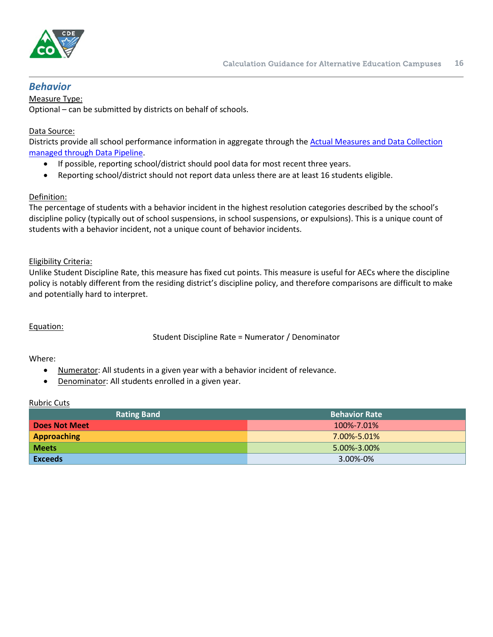

### <span id="page-15-0"></span>*Behavior*

Measure Type:

Optional – can be submitted by districts on behalf of schools.

#### Data Source:

Districts provide all school performance information in aggregate through the [Actual Measures and Data](http://www.cde.state.co.us/datapipeline/per-aec) Collection [managed through Data Pipeline.](http://www.cde.state.co.us/datapipeline/per-aec)

- If possible, reporting school/district should pool data for most recent three years.
- Reporting school/district should not report data unless there are at least 16 students eligible.

#### Definition:

The percentage of students with a behavior incident in the highest resolution categories described by the school's discipline policy (typically out of school suspensions, in school suspensions, or expulsions). This is a unique count of students with a behavior incident, not a unique count of behavior incidents.

#### Eligibility Criteria:

Unlike Student Discipline Rate, this measure has fixed cut points. This measure is useful for AECs where the discipline policy is notably different from the residing district's discipline policy, and therefore comparisons are difficult to make and potentially hard to interpret.

#### Equation:

Student Discipline Rate = Numerator / Denominator

#### Where:

- Numerator: All students in a given year with a behavior incident of relevance.
- Denominator: All students enrolled in a given year.

| <b>Rating Band</b>   | <b>Behavior Rate</b> |
|----------------------|----------------------|
| <b>Does Not Meet</b> | 100%-7.01%           |
| <b>Approaching</b>   | $7.00\% - 5.01\%$    |
| <b>Meets</b>         | $5.00\% - 3.00\%$    |
| <b>Exceeds</b>       | 3.00%-0%             |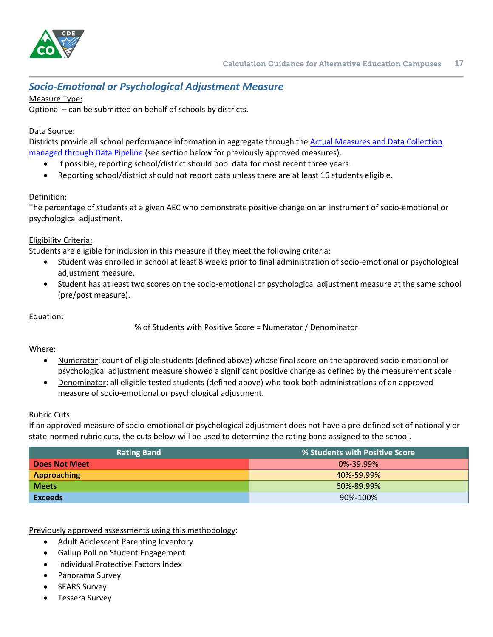

## <span id="page-16-0"></span>*Socio-Emotional or Psychological Adjustment Measure*

### Measure Type:

Optional – can be submitted on behalf of schools by districts.

### Data Source:

Districts provide all school performance information in aggregate through the [Actual Measures and Data Collection](http://www.cde.state.co.us/datapipeline/per-aec)  [managed through Data Pipeline](http://www.cde.state.co.us/datapipeline/per-aec) (see section below for previously approved measures).

- If possible, reporting school/district should pool data for most recent three years.
- Reporting school/district should not report data unless there are at least 16 students eligible.

### Definition:

The percentage of students at a given AEC who demonstrate positive change on an instrument of socio-emotional or psychological adjustment.

#### Eligibility Criteria:

Students are eligible for inclusion in this measure if they meet the following criteria:

- Student was enrolled in school at least 8 weeks prior to final administration of socio-emotional or psychological adjustment measure.
- Student has at least two scores on the socio-emotional or psychological adjustment measure at the same school (pre/post measure).

#### Equation:

% of Students with Positive Score = Numerator / Denominator

#### Where:

- Numerator: count of eligible students (defined above) whose final score on the approved socio-emotional or psychological adjustment measure showed a significant positive change as defined by the measurement scale.
- Denominator: all eligible tested students (defined above) who took both administrations of an approved measure of socio-emotional or psychological adjustment.

#### Rubric Cuts

If an approved measure of socio-emotional or psychological adjustment does not have a pre-defined set of nationally or state-normed rubric cuts, the cuts below will be used to determine the rating band assigned to the school.

| <b>Rating Band</b>   | % Students with Positive Score |
|----------------------|--------------------------------|
| <b>Does Not Meet</b> | $0\% - 39.99\%$                |
| <b>Approaching</b>   | 40%-59.99%                     |
| <b>Meets</b>         | 60%-89.99%                     |
| <b>Exceeds</b>       | 90%-100%                       |

Previously approved assessments using this methodology:

- Adult Adolescent Parenting Inventory
- Gallup Poll on Student Engagement
- Individual Protective Factors Index
- Panorama Survey
- **SEARS Survey**
- Tessera Survey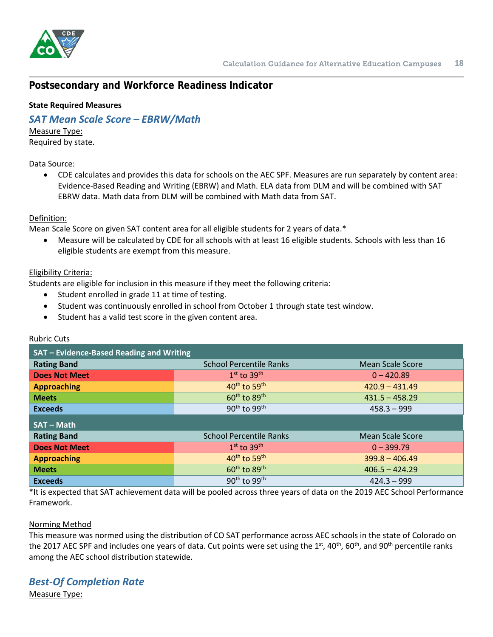

## <span id="page-17-0"></span>**Postsecondary and Workforce Readiness Indicator**

#### <span id="page-17-1"></span>**State Required Measures**

## <span id="page-17-2"></span>*SAT Mean Scale Score – EBRW/Math*

Measure Type: Required by state.

#### Data Source:

• CDE calculates and provides this data for schools on the AEC SPF. Measures are run separately by content area: Evidence-Based Reading and Writing (EBRW) and Math. ELA data from DLM and will be combined with SAT EBRW data. Math data from DLM will be combined with Math data from SAT.

#### Definition:

Mean Scale Score on given SAT content area for all eligible students for 2 years of data.\*

• Measure will be calculated by CDE for all schools with at least 16 eligible students. Schools with less than 16 eligible students are exempt from this measure.

#### Eligibility Criteria:

Students are eligible for inclusion in this measure if they meet the following criteria:

- Student enrolled in grade 11 at time of testing.
- Student was continuously enrolled in school from October 1 through state test window.
- Student has a valid test score in the given content area.

### Rubric Cuts

| SAT - Evidence-Based Reading and Writing |                                      |                  |  |  |
|------------------------------------------|--------------------------------------|------------------|--|--|
| <b>Rating Band</b>                       | <b>School Percentile Ranks</b>       | Mean Scale Score |  |  |
| <b>Does Not Meet</b>                     | $1st$ to $39th$                      | $0 - 420.89$     |  |  |
| <b>Approaching</b>                       | $40th$ to 59 <sup>th</sup>           | $420.9 - 431.49$ |  |  |
| <b>Meets</b>                             | $60th$ to $89th$                     | $431.5 - 458.29$ |  |  |
| <b>Exceeds</b>                           | 90 <sup>th</sup> to 99 <sup>th</sup> | $458.3 - 999$    |  |  |
| <b>SAT-Math</b>                          |                                      |                  |  |  |
| <b>Rating Band</b>                       | <b>School Percentile Ranks</b>       | Mean Scale Score |  |  |
| <b>Does Not Meet</b>                     | $1st$ to $39th$                      | $0 - 399.79$     |  |  |
| <b>Approaching</b>                       | $40^{\text{th}}$ to 59 <sup>th</sup> | $399.8 - 406.49$ |  |  |
| <b>Meets</b>                             | $60th$ to 89 <sup>th</sup>           | $406.5 - 424.29$ |  |  |
| <b>Exceeds</b>                           | $90th$ to $99th$                     | $424.3 - 999$    |  |  |

\*It is expected that SAT achievement data will be pooled across three years of data on the 2019 AEC School Performance Framework.

#### Norming Method

This measure was normed using the distribution of CO SAT performance across AEC schools in the state of Colorado on the 2017 AEC SPF and includes one years of data. Cut points were set using the 1<sup>st</sup>, 40<sup>th</sup>, 60<sup>th</sup>, and 90<sup>th</sup> percentile ranks among the AEC school distribution statewide.

### <span id="page-17-3"></span>*Best-Of Completion Rate* Measure Type: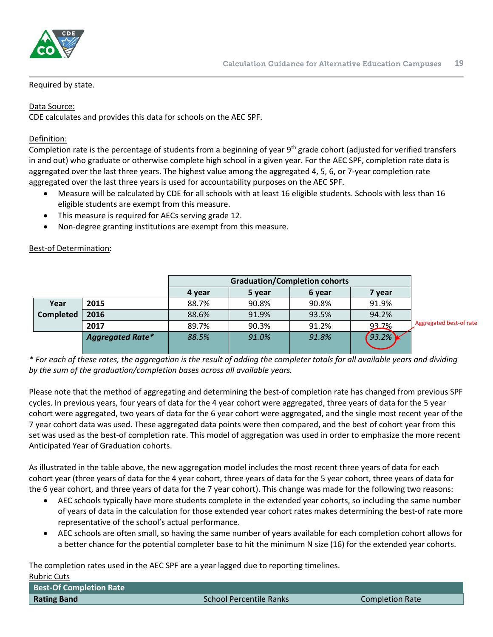

best-of rate

#### Required by state.

#### Data Source:

CDE calculates and provides this data for schools on the AEC SPF.

#### Definition:

Completion rate is the percentage of students from a beginning of year 9<sup>th</sup> grade cohort (adjusted for verified transfers in and out) who graduate or otherwise complete high school in a given year. For the AEC SPF, completion rate data is aggregated over the last three years. The highest value among the aggregated 4, 5, 6, or 7-year completion rate aggregated over the last three years is used for accountability purposes on the AEC SPF.

- Measure will be calculated by CDE for all schools with at least 16 eligible students. Schools with less than 16 eligible students are exempt from this measure.
- This measure is required for AECs serving grade 12.
- Non-degree granting institutions are exempt from this measure.

#### Best-of Determination:

|                  |                         | <b>Graduation/Completion cohorts</b> |        |        |        |            |
|------------------|-------------------------|--------------------------------------|--------|--------|--------|------------|
|                  |                         | 4 year                               | 5 year | 6 year | 7 year |            |
| Year             | 2015                    | 88.7%                                | 90.8%  | 90.8%  | 91.9%  |            |
| <b>Completed</b> | 2016                    | 88.6%                                | 91.9%  | 93.5%  | 94.2%  |            |
|                  | 2017                    | 89.7%                                | 90.3%  | 91.2%  | 93.7%  | Aggregated |
|                  | <b>Aggregated Rate*</b> | 88.5%                                | 91.0%  | 91.8%  | 93.2%  |            |

*\* For each of these rates, the aggregation is the result of adding the completer totals for all available years and dividing by the sum of the graduation/completion bases across all available years.*

Please note that the method of aggregating and determining the best-of completion rate has changed from previous SPF cycles. In previous years, four years of data for the 4 year cohort were aggregated, three years of data for the 5 year cohort were aggregated, two years of data for the 6 year cohort were aggregated, and the single most recent year of the 7 year cohort data was used. These aggregated data points were then compared, and the best of cohort year from this set was used as the best-of completion rate. This model of aggregation was used in order to emphasize the more recent Anticipated Year of Graduation cohorts.

As illustrated in the table above, the new aggregation model includes the most recent three years of data for each cohort year (three years of data for the 4 year cohort, three years of data for the 5 year cohort, three years of data for the 6 year cohort, and three years of data for the 7 year cohort). This change was made for the following two reasons:

- AEC schools typically have more students complete in the extended year cohorts, so including the same number of years of data in the calculation for those extended year cohort rates makes determining the best-of rate more representative of the school's actual performance.
- AEC schools are often small, so having the same number of years available for each completion cohort allows for a better chance for the potential completer base to hit the minimum N size (16) for the extended year cohorts.

The completion rates used in the AEC SPF are a year lagged due to reporting timelines. Rubric Cuts

| .                              |                         |                 |
|--------------------------------|-------------------------|-----------------|
| <b>Best-Of Completion Rate</b> |                         |                 |
| <b>Rating Band</b>             | School Percentile Ranks | Completion Rate |
|                                |                         |                 |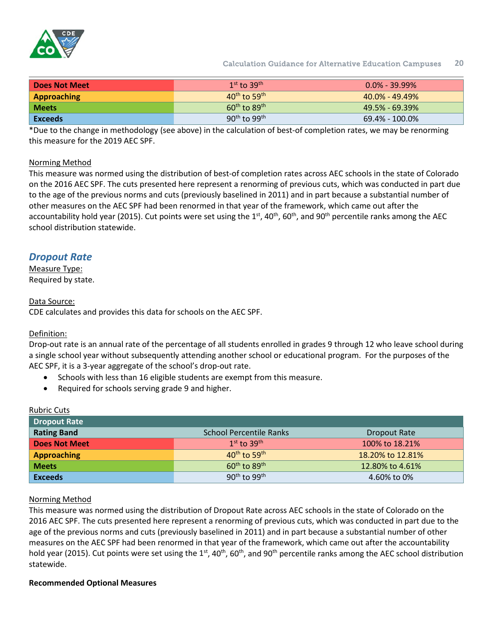

Calculation Guidance for Alternative Education Campuses **20**

| <b>Does Not Meet</b> | $1st$ to $39th$                      | $0.0\%$ - 39.99%   |
|----------------------|--------------------------------------|--------------------|
| Approaching          | $40^{\text{th}}$ to 59 <sup>th</sup> | $40.0\%$ - 49.49%  |
| <b>Meets</b>         | $60^{\text{th}}$ to $89^{\text{th}}$ | $49.5\% - 69.39\%$ |
| <b>Exceeds</b>       | $90^{\text{th}}$ to $99^{\text{th}}$ | $69.4\% - 100.0\%$ |

\*Due to the change in methodology (see above) in the calculation of best-of completion rates, we may be renorming this measure for the 2019 AEC SPF.

#### Norming Method

This measure was normed using the distribution of best-of completion rates across AEC schools in the state of Colorado on the 2016 AEC SPF. The cuts presented here represent a renorming of previous cuts, which was conducted in part due to the age of the previous norms and cuts (previously baselined in 2011) and in part because a substantial number of other measures on the AEC SPF had been renormed in that year of the framework, which came out after the accountability hold year (2015). Cut points were set using the  $1<sup>st</sup>$ , 40<sup>th</sup>, 60<sup>th</sup>, and 90<sup>th</sup> percentile ranks among the AEC school distribution statewide.

## <span id="page-19-0"></span>*Dropout Rate*

Measure Type: Required by state.

Data Source:

CDE calculates and provides this data for schools on the AEC SPF.

#### Definition:

Rubric Cuts

Drop-out rate is an annual rate of the percentage of all students enrolled in grades 9 through 12 who leave school during a single school year without subsequently attending another school or educational program. For the purposes of the AEC SPF, it is a 3-year aggregate of the school's drop-out rate.

- Schools with less than 16 eligible students are exempt from this measure.
- Required for schools serving grade 9 and higher.

| <b>NUBLIC CULS</b> |                                      |                  |
|--------------------|--------------------------------------|------------------|
| Dropout Rate       |                                      |                  |
| <b>Rating Band</b> | <b>School Percentile Ranks</b>       | Dropout Rate     |
| Does Not Meet      | $1st$ to $39th$                      | 100% to 18.21%   |
| <b>Approaching</b> | $40^{\text{th}}$ to 59 <sup>th</sup> | 18.20% to 12.81% |
| <b>Meets</b>       | $60th$ to $89th$                     | 12,80% to 4,61%  |
| <b>Exceeds</b>     | $90th$ to $99th$                     | 4.60% to 0%      |

# Norming Method

This measure was normed using the distribution of Dropout Rate across AEC schools in the state of Colorado on the 2016 AEC SPF. The cuts presented here represent a renorming of previous cuts, which was conducted in part due to the age of the previous norms and cuts (previously baselined in 2011) and in part because a substantial number of other measures on the AEC SPF had been renormed in that year of the framework, which came out after the accountability hold year (2015). Cut points were set using the  $1<sup>st</sup>$ , 40<sup>th</sup>, 60<sup>th</sup>, and 90<sup>th</sup> percentile ranks among the AEC school distribution statewide.

#### <span id="page-19-1"></span>**Recommended Optional Measures**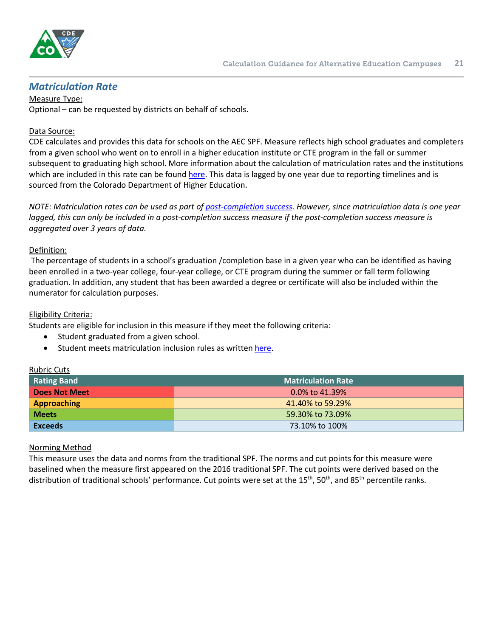

## <span id="page-20-0"></span>*Matriculation Rate*

Measure Type: Optional – can be requested by districts on behalf of schools.

#### Data Source:

CDE calculates and provides this data for schools on the AEC SPF. Measure reflects high school graduates and completers from a given school who went on to enroll in a higher education institute or CTE program in the fall or summer subsequent to graduating high school. More information about the calculation of matriculation rates and the institutions which are included in this rate can be found [here.](https://www.cde.state.co.us/accountability/matriculation_guidance_and_faq_7_25_16) This data is lagged by one year due to reporting timelines and is sourced from the Colorado Department of Higher Education.

*NOTE: Matriculation rates can be used as part of [post-completion success.](#page-23-0) However, since matriculation data is one year lagged, this can only be included in a post-completion success measure if the post-completion success measure is aggregated over 3 years of data.*

#### Definition:

The percentage of students in a school's graduation /completion base in a given year who can be identified as having been enrolled in a two-year college, four-year college, or CTE program during the summer or fall term following graduation. In addition, any student that has been awarded a degree or certificate will also be included within the numerator for calculation purposes.

#### Eligibility Criteria:

Rubric Cuts

Students are eligible for inclusion in this measure if they meet the following criteria:

- Student graduated from a given school.
- Student meets matriculation inclusion rules as writte[n here.](https://www.cde.state.co.us/accountability/matriculation_business_rules_8_26_16)

| nublic cuts    |                           |
|----------------|---------------------------|
| Rating Band    | <b>Matriculation Rate</b> |
| Does Not Meet  | $0.0\%$ to 41.39%         |
| Approaching    | 41.40% to 59.29%          |
| <b>Meets</b>   | 59.30% to 73.09%          |
| <b>Exceeds</b> | 73.10% to 100%            |

#### Norming Method

This measure uses the data and norms from the traditional SPF. The norms and cut points for this measure were baselined when the measure first appeared on the 2016 traditional SPF. The cut points were derived based on the distribution of traditional schools' performance. Cut points were set at the 15<sup>th</sup>, 50<sup>th</sup>, and 85<sup>th</sup> percentile ranks.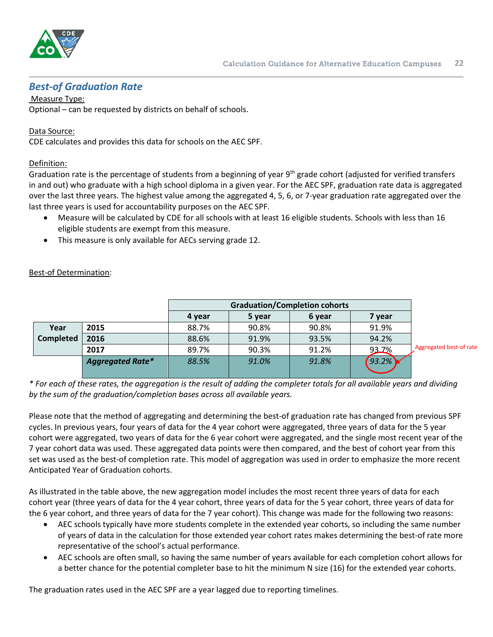

## <span id="page-21-0"></span>*Best-of Graduation Rate*

Measure Type: Optional – can be requested by districts on behalf of schools.

#### Data Source:

CDE calculates and provides this data for schools on the AEC SPF.

#### Definition:

Graduation rate is the percentage of students from a beginning of year 9<sup>th</sup> grade cohort (adjusted for verified transfers in and out) who graduate with a high school diploma in a given year. For the AEC SPF, graduation rate data is aggregated over the last three years. The highest value among the aggregated 4, 5, 6, or 7-year graduation rate aggregated over the last three years is used for accountability purposes on the AEC SPF.

- Measure will be calculated by CDE for all schools with at least 16 eligible students. Schools with less than 16 eligible students are exempt from this measure.
- This measure is only available for AECs serving grade 12.

|                  |                         | <b>Graduation/Completion cohorts</b> |        |        |        |                         |
|------------------|-------------------------|--------------------------------------|--------|--------|--------|-------------------------|
|                  |                         | 4 year                               | 5 year | 6 year | 7 vear |                         |
| Year             | 2015                    | 88.7%                                | 90.8%  | 90.8%  | 91.9%  |                         |
| <b>Completed</b> | 2016                    | 88.6%                                | 91.9%  | 93.5%  | 94.2%  |                         |
|                  | 2017                    | 89.7%                                | 90.3%  | 91.2%  | 93.7%  | Aggregated best-of rate |
|                  | <b>Aggregated Rate*</b> | 88.5%                                | 91.0%  | 91.8%  | 93.2%  |                         |
|                  |                         |                                      |        |        |        |                         |

#### Best-of Determination:

*\* For each of these rates, the aggregation is the result of adding the completer totals for all available years and dividing by the sum of the graduation/completion bases across all available years.*

Please note that the method of aggregating and determining the best-of graduation rate has changed from previous SPF cycles. In previous years, four years of data for the 4 year cohort were aggregated, three years of data for the 5 year cohort were aggregated, two years of data for the 6 year cohort were aggregated, and the single most recent year of the 7 year cohort data was used. These aggregated data points were then compared, and the best of cohort year from this set was used as the best-of completion rate. This model of aggregation was used in order to emphasize the more recent Anticipated Year of Graduation cohorts.

As illustrated in the table above, the new aggregation model includes the most recent three years of data for each cohort year (three years of data for the 4 year cohort, three years of data for the 5 year cohort, three years of data for the 6 year cohort, and three years of data for the 7 year cohort). This change was made for the following two reasons:

- AEC schools typically have more students complete in the extended year cohorts, so including the same number of years of data in the calculation for those extended year cohort rates makes determining the best-of rate more representative of the school's actual performance.
- AEC schools are often small, so having the same number of years available for each completion cohort allows for a better chance for the potential completer base to hit the minimum N size (16) for the extended year cohorts.

The graduation rates used in the AEC SPF are a year lagged due to reporting timelines.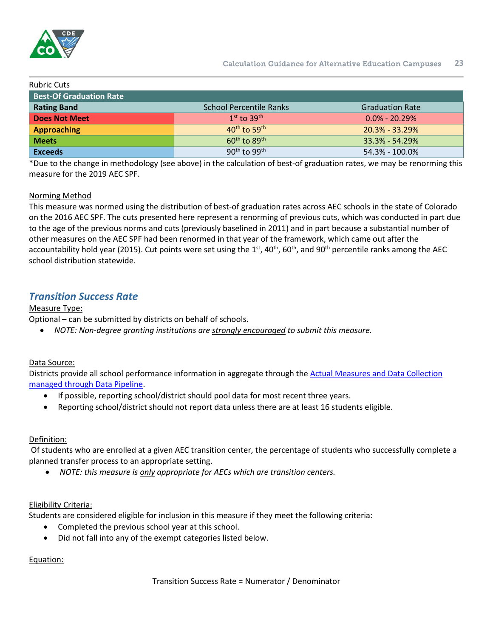

| <b>Rubric Cuts</b>             |                                      |                        |
|--------------------------------|--------------------------------------|------------------------|
| <b>Best-Of Graduation Rate</b> |                                      |                        |
| <b>Rating Band</b>             | <b>School Percentile Ranks</b>       | <b>Graduation Rate</b> |
| Does Not Meet                  | $1st$ to $39th$                      | $0.0\% - 20.29\%$      |
| <b>Approaching</b>             | $40^{th}$ to 59 <sup>th</sup>        | $20.3\% - 33.29\%$     |
| <b>Meets</b>                   | $60^{\text{th}}$ to $89^{\text{th}}$ | $33.3\% - 54.29\%$     |
| <b>Exceeds</b>                 | $90^{th}$ to $99^{th}$               | 54.3% - 100.0%         |

\*Due to the change in methodology (see above) in the calculation of best-of graduation rates, we may be renorming this measure for the 2019 AEC SPF.

### Norming Method

This measure was normed using the distribution of best-of graduation rates across AEC schools in the state of Colorado on the 2016 AEC SPF. The cuts presented here represent a renorming of previous cuts, which was conducted in part due to the age of the previous norms and cuts (previously baselined in 2011) and in part because a substantial number of other measures on the AEC SPF had been renormed in that year of the framework, which came out after the accountability hold year (2015). Cut points were set using the  $1<sup>st</sup>$ , 40<sup>th</sup>, 60<sup>th</sup>, and 90<sup>th</sup> percentile ranks among the AEC school distribution statewide.

## <span id="page-22-0"></span>*Transition Success Rate*

### Measure Type:

Optional – can be submitted by districts on behalf of schools.

• *NOTE: Non-degree granting institutions are strongly encouraged to submit this measure.*

### Data Source:

Districts provide all school performance information in aggregate through the Actual Measures and Data Collection [managed through Data Pipeline.](http://www.cde.state.co.us/datapipeline/per-aec)

- If possible, reporting school/district should pool data for most recent three years.
- Reporting school/district should not report data unless there are at least 16 students eligible.

### Definition:

Of students who are enrolled at a given AEC transition center, the percentage of students who successfully complete a planned transfer process to an appropriate setting.

• *NOTE: this measure is only appropriate for AECs which are transition centers.*

#### Eligibility Criteria:

Students are considered eligible for inclusion in this measure if they meet the following criteria:

- Completed the previous school year at this school.
- Did not fall into any of the exempt categories listed below.

### Equation:

Transition Success Rate = Numerator / Denominator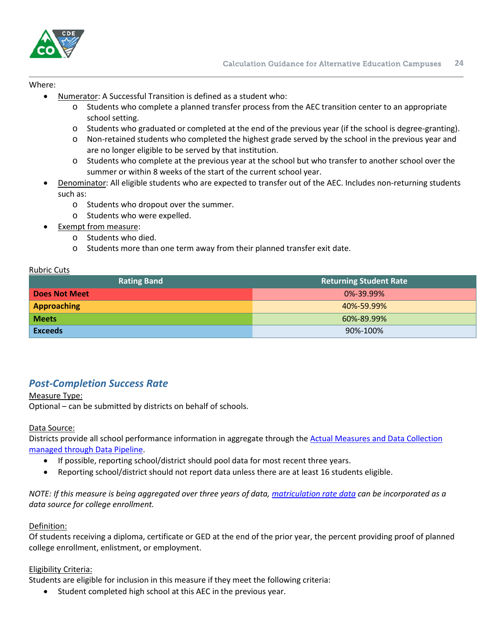

#### Where:

- Numerator: A Successful Transition is defined as a student who:
	- o Students who complete a planned transfer process from the AEC transition center to an appropriate school setting.
	- o Students who graduated or completed at the end of the previous year (if the school is degree-granting).
	- o Non-retained students who completed the highest grade served by the school in the previous year and are no longer eligible to be served by that institution.
	- o Students who complete at the previous year at the school but who transfer to another school over the summer or within 8 weeks of the start of the current school year.
- Denominator: All eligible students who are expected to transfer out of the AEC. Includes non-returning students such as:
	- o Students who dropout over the summer.
	- o Students who were expelled.
- Exempt from measure:
	- o Students who died.
	- o Students more than one term away from their planned transfer exit date.

#### Rubric Cuts

| <b>Rating Band</b>   | <b>Returning Student Rate</b> |
|----------------------|-------------------------------|
| <b>Does Not Meet</b> | 0%-39.99%                     |
| <b>Approaching</b>   | 40%-59.99%                    |
| <b>Meets</b>         | 60%-89.99%                    |
| <b>Exceeds</b>       | 90%-100%                      |

## <span id="page-23-0"></span>*Post-Completion Success Rate*

#### Measure Type:

Optional – can be submitted by districts on behalf of schools.

#### Data Source:

Districts provide all school performance information in aggregate through the [Actual Measures and Data Collection](http://www.cde.state.co.us/datapipeline/per-aec)  [managed through Data Pipeline.](http://www.cde.state.co.us/datapipeline/per-aec)

- If possible, reporting school/district should pool data for most recent three years.
- Reporting school/district should not report data unless there are at least 16 students eligible.

*NOTE: If this measure is being aggregated over three years of data[, matriculation rate data](#page-20-0) can be incorporated as a data source for college enrollment.*

#### Definition:

Of students receiving a diploma, certificate or GED at the end of the prior year, the percent providing proof of planned college enrollment, enlistment, or employment.

#### Eligibility Criteria:

Students are eligible for inclusion in this measure if they meet the following criteria:

• Student completed high school at this AEC in the previous year.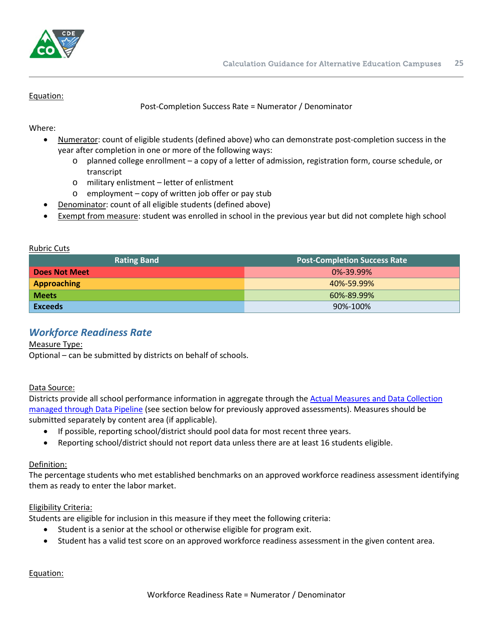

#### Equation:

Post-Completion Success Rate = Numerator / Denominator

Where:

- Numerator: count of eligible students (defined above) who can demonstrate post-completion success in the year after completion in one or more of the following ways:
	- o planned college enrollment a copy of a letter of admission, registration form, course schedule, or transcript
	- o military enlistment letter of enlistment
	- o employment copy of written job offer or pay stub
- Denominator: count of all eligible students (defined above)
- Exempt from measure: student was enrolled in school in the previous year but did not complete high school

#### Rubric Cuts

| <b>Rating Band</b>   | <b>Post-Completion Success Rate</b> |
|----------------------|-------------------------------------|
| <b>Does Not Meet</b> | $0\% - 39.99\%$                     |
| <b>Approaching</b>   | 40%-59.99%                          |
| <b>Meets</b>         | 60%-89.99%                          |
| <b>Exceeds</b>       | 90%-100%                            |

## <span id="page-24-0"></span>*Workforce Readiness Rate*

#### Measure Type:

Optional – can be submitted by districts on behalf of schools.

#### Data Source:

Districts provide all school performance information in aggregate through the [Actual Measures and Data Collection](http://www.cde.state.co.us/datapipeline/per-aec)  [managed through Data Pipeline](http://www.cde.state.co.us/datapipeline/per-aec) (see section below for previously approved assessments). Measures should be submitted separately by content area (if applicable).

- If possible, reporting school/district should pool data for most recent three years.
- Reporting school/district should not report data unless there are at least 16 students eligible.

#### Definition:

The percentage students who met established benchmarks on an approved workforce readiness assessment identifying them as ready to enter the labor market.

#### Eligibility Criteria:

Students are eligible for inclusion in this measure if they meet the following criteria:

- Student is a senior at the school or otherwise eligible for program exit.
- Student has a valid test score on an approved workforce readiness assessment in the given content area.

#### Equation: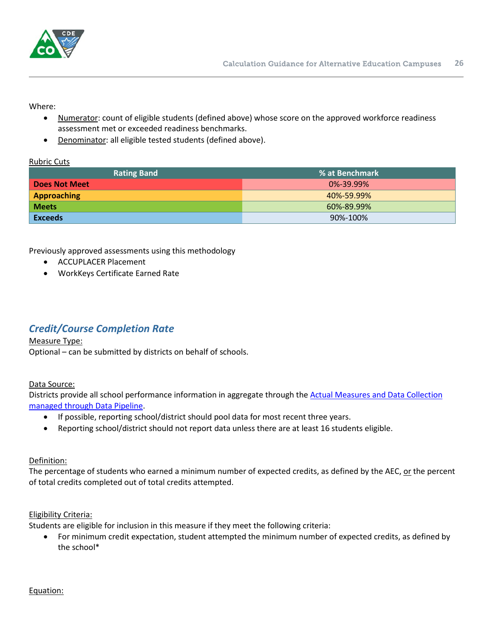

Where:

- Numerator: count of eligible students (defined above) whose score on the approved workforce readiness assessment met or exceeded readiness benchmarks.
- Denominator: all eligible tested students (defined above).

#### Rubric Cuts

| <b>Rating Band</b> | % at Benchmark  |
|--------------------|-----------------|
| Does Not Meet      | $0\% - 39.99\%$ |
| <b>Approaching</b> | 40%-59.99%      |
| <b>Meets</b>       | 60%-89.99%      |
| <b>Exceeds</b>     | 90%-100%        |

Previously approved assessments using this methodology

- ACCUPLACER Placement
- WorkKeys Certificate Earned Rate

## <span id="page-25-0"></span>*Credit/Course Completion Rate*

#### Measure Type:

Optional – can be submitted by districts on behalf of schools.

#### Data Source:

Districts provide all school performance information in aggregate through the [Actual Measures and Data Collection](http://www.cde.state.co.us/datapipeline/per-aec)  [managed through Data Pipeline.](http://www.cde.state.co.us/datapipeline/per-aec)

- If possible, reporting school/district should pool data for most recent three years.
- Reporting school/district should not report data unless there are at least 16 students eligible.

#### Definition:

The percentage of students who earned a minimum number of expected credits, as defined by the AEC, or the percent of total credits completed out of total credits attempted.

#### Eligibility Criteria:

Students are eligible for inclusion in this measure if they meet the following criteria:

• For minimum credit expectation, student attempted the minimum number of expected credits, as defined by the school\*

#### Equation: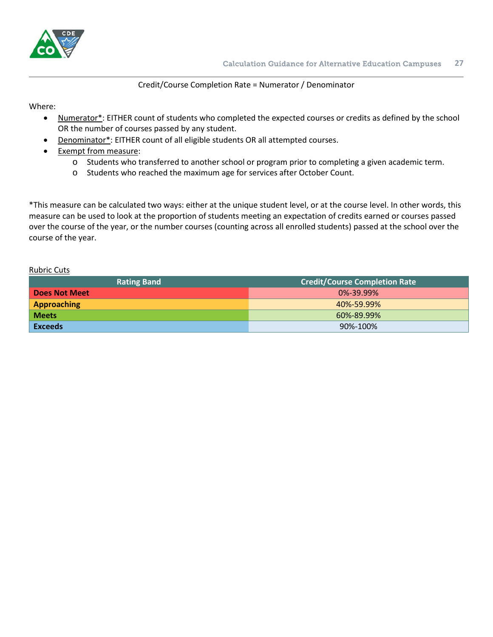

#### Credit/Course Completion Rate = Numerator / Denominator

Where:

- Numerator\*: EITHER count of students who completed the expected courses or credits as defined by the school OR the number of courses passed by any student.
- Denominator\*: EITHER count of all eligible students OR all attempted courses.
- Exempt from measure:
	- o Students who transferred to another school or program prior to completing a given academic term.
	- o Students who reached the maximum age for services after October Count.

\*This measure can be calculated two ways: either at the unique student level, or at the course level. In other words, this measure can be used to look at the proportion of students meeting an expectation of credits earned or courses passed over the course of the year, or the number courses (counting across all enrolled students) passed at the school over the course of the year.

| <b>Rating Band</b> | <b>Credit/Course Completion Rate</b> |
|--------------------|--------------------------------------|
| Does Not Meet      | 0%-39.99%                            |
| <b>Approaching</b> | 40%-59.99%                           |
| <b>Meets</b>       | 60%-89.99%                           |
| <b>Exceeds</b>     | 90%-100%                             |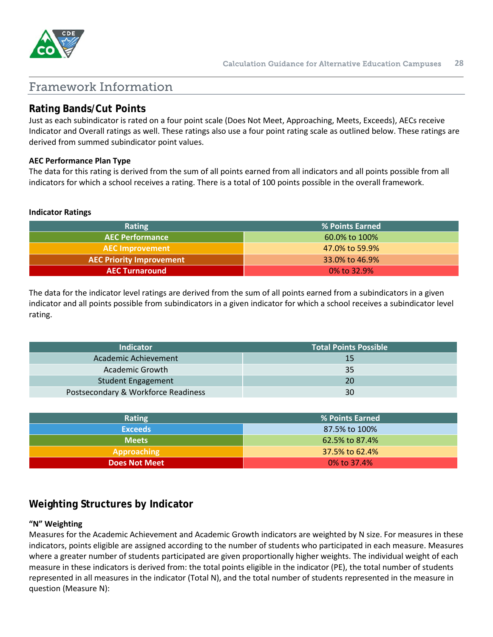

## <span id="page-27-0"></span>Framework Information

## <span id="page-27-1"></span>**Rating Bands/Cut Points**

Just as each subindicator is rated on a four point scale (Does Not Meet, Approaching, Meets, Exceeds), AECs receive Indicator and Overall ratings as well. These ratings also use a four point rating scale as outlined below. These ratings are derived from summed subindicator point values.

#### **AEC Performance Plan Type**

The data for this rating is derived from the sum of all points earned from all indicators and all points possible from all indicators for which a school receives a rating. There is a total of 100 points possible in the overall framework.

#### **Indicator Ratings**

| Rating                          | % Points Earned |
|---------------------------------|-----------------|
| <b>AEC Performance</b>          | 60.0% to 100%   |
| <b>AEC Improvement</b>          | 47.0% to 59.9%  |
| <b>AEC Priority Improvement</b> | 33.0% to 46.9%  |
| <b>AEC Turnaround</b>           | $0\%$ to 32.9%  |

The data for the indicator level ratings are derived from the sum of all points earned from a subindicators in a given indicator and all points possible from subindicators in a given indicator for which a school receives a subindicator level rating.

| <b>Indicator</b>                    | <b>Total Points Possible</b> |
|-------------------------------------|------------------------------|
| Academic Achievement                | 15                           |
| Academic Growth                     | 35                           |
| <b>Student Engagement</b>           | 20                           |
| Postsecondary & Workforce Readiness | 30                           |

| <b>Rating</b>        | % Points Earned |
|----------------------|-----------------|
| <b>Exceeds</b>       | 87.5% to 100%   |
| <b>Meets</b>         | 62.5% to 87.4%  |
| Approaching          | 37.5% to 62.4%  |
| <b>Does Not Meet</b> | $0\%$ to 37.4%  |

## <span id="page-27-2"></span>**Weighting Structures by Indicator**

#### **"N" Weighting**

Measures for the Academic Achievement and Academic Growth indicators are weighted by N size. For measures in these indicators, points eligible are assigned according to the number of students who participated in each measure. Measures where a greater number of students participated are given proportionally higher weights. The individual weight of each measure in these indicators is derived from: the total points eligible in the indicator (PE), the total number of students represented in all measures in the indicator (Total N), and the total number of students represented in the measure in question (Measure N):